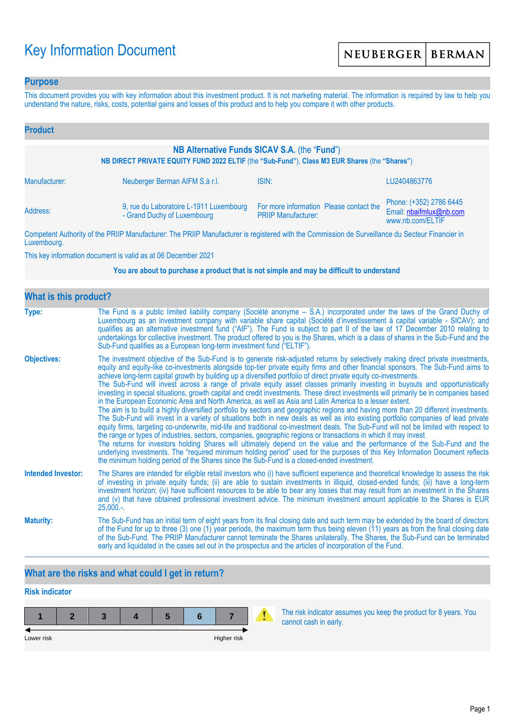# Key Information Document

### **Purpose**

This document provides you with key information about this investment product. It is not marketing material. The information is required by law to help you understand the nature, risks, costs, potential gains and losses of this product and to help you compare it with other products.

| <b>Product</b>                                                                                                                                |                                                                        |                                                                       |                                                                        |  |  |
|-----------------------------------------------------------------------------------------------------------------------------------------------|------------------------------------------------------------------------|-----------------------------------------------------------------------|------------------------------------------------------------------------|--|--|
| NB Alternative Funds SICAV S.A. (the "Fund")<br>NB DIRECT PRIVATE EQUITY FUND 2022 ELTIF (the "Sub-Fund"), Class M3 EUR Shares (the "Shares") |                                                                        |                                                                       |                                                                        |  |  |
| Manufacturer:                                                                                                                                 | Neuberger Berman AIFM S.à r.l.                                         | ISIN:                                                                 | LU2404863776                                                           |  |  |
| Address:                                                                                                                                      | 9, rue du Laboratoire L-1911 Luxembourg<br>- Grand Duchy of Luxembourg | For more information Please contact the<br><b>PRIIP Manufacturer:</b> | Phone: (+352) 2786 6445<br>Email: nbaifmlux@nb.com<br>www.nb.com/ELTIF |  |  |

Competent Authority of the PRIIP Manufacturer: The PRIIP Manufacturer is registered with the Commission de Surveillance du Secteur Financier in Luxembourg.

This key information document is valid as at 06 December 2021

#### **You are about to purchase a product that is not simple and may be difficult to understand**

| <b>What is this product?</b> |                                                                                                                                                                                                                                                                                                                                                                                                                                                                                                                                                                                                                                                                                                                                                                                                                                                                                                                                                                                                                                                                                                                                                                                                                                                                                                                                                                                                                                                                                                                                                                                                                                                                               |
|------------------------------|-------------------------------------------------------------------------------------------------------------------------------------------------------------------------------------------------------------------------------------------------------------------------------------------------------------------------------------------------------------------------------------------------------------------------------------------------------------------------------------------------------------------------------------------------------------------------------------------------------------------------------------------------------------------------------------------------------------------------------------------------------------------------------------------------------------------------------------------------------------------------------------------------------------------------------------------------------------------------------------------------------------------------------------------------------------------------------------------------------------------------------------------------------------------------------------------------------------------------------------------------------------------------------------------------------------------------------------------------------------------------------------------------------------------------------------------------------------------------------------------------------------------------------------------------------------------------------------------------------------------------------------------------------------------------------|
| Type:                        | The Fund is a public limited liability company (Société anonyme – S.A.) incorporated under the laws of the Grand Duchy of<br>Luxembourg as an investment company with variable share capital (Société d'investissement à capital variable - SICAV); and<br>qualifies as an alternative investment fund ("AIF"). The Fund is subject to part II of the law of 17 December 2010 relating to<br>undertakings for collective investment. The product offered to you is the Shares, which is a class of shares in the Sub-Fund and the<br>Sub-Fund qualifies as a European long-term investment fund ("ELTIF").                                                                                                                                                                                                                                                                                                                                                                                                                                                                                                                                                                                                                                                                                                                                                                                                                                                                                                                                                                                                                                                                    |
| <b>Objectives:</b>           | The investment objective of the Sub-Fund is to generate risk-adjusted returns by selectively making direct private investments,<br>equity and equity-like co-investments alongside top-tier private equity firms and other financial sponsors. The Sub-Fund aims to<br>achieve long-term capital growth by building up a diversified portfolio of direct private equity co-investments.<br>The Sub-Fund will invest across a range of private equity asset classes primarily investing in buyouts and opportunistically<br>investing in special situations, growth capital and credit investments. These direct investments will primarily be in companies based<br>in the European Economic Area and North America, as well as Asia and Latin America to a lesser extent.<br>The aim is to build a highly diversified portfolio by sectors and geographic regions and having more than 20 different investments.<br>The Sub-Fund will invest in a variety of situations both in new deals as well as into existing portfolio companies of lead private<br>equity firms, targeting co-underwrite, mid-life and traditional co-investment deals. The Sub-Fund will not be limited with respect to<br>the range or types of industries, sectors, companies, geographic regions or transactions in which it may invest<br>The returns for investors holding Shares will ultimately depend on the value and the performance of the Sub-Fund and the<br>underlying investments. The "required minimum holding period" used for the purposes of this Key Information Document reflects<br>the minimum holding period of the Shares since the Sub-Fund is a closed-ended investment. |
| <b>Intended Investor:</b>    | The Shares are intended for eligible retail investors who (i) have sufficient experience and theoretical knowledge to assess the risk<br>of investing in private equity funds; (ii) are able to sustain investments in illiquid, closed-ended funds; (iii) have a long-term<br>investment horizon; (iv) have sufficient resources to be able to bear any losses that may result from an investment in the Shares<br>and (v) that have obtained professional investment advice. The minimum investment amount applicable to the Shares is EUR<br>$25,000.$ -.                                                                                                                                                                                                                                                                                                                                                                                                                                                                                                                                                                                                                                                                                                                                                                                                                                                                                                                                                                                                                                                                                                                  |
| <b>Maturity:</b>             | The Sub-Fund has an initial term of eight years from its final closing date and such term may be extended by the board of directors<br>of the Fund for up to three (3) one (1) year periods, the maximum term thus being eleven (11) years as from the final closing date<br>of the Sub-Fund. The PRIIP Manufacturer cannot terminate the Shares unilaterally. The Shares, the Sub-Fund can be terminated<br>early and liquidated in the cases set out in the prospectus and the articles of incorporation of the Fund.                                                                                                                                                                                                                                                                                                                                                                                                                                                                                                                                                                                                                                                                                                                                                                                                                                                                                                                                                                                                                                                                                                                                                       |

## **What are the risks and what could I get in return?**

## **Risk indicator**

| Lower risk |  |  | Higher risk |  |
|------------|--|--|-------------|--|

The risk indicator assumes you keep the product for 8 years. You cannot cash in early.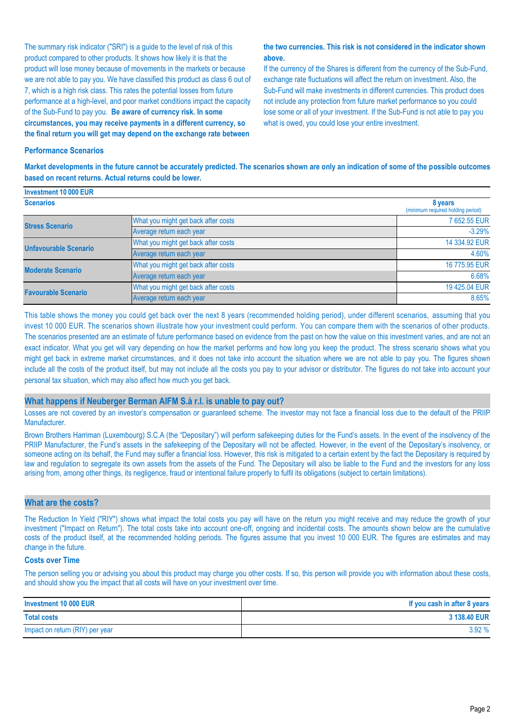The summary risk indicator ("SRI") is a guide to the level of risk of this product compared to other products. It shows how likely it is that the product will lose money because of movements in the markets or because we are not able to pay you. We have classified this product as class 6 out of 7, which is a high risk class. This rates the potential losses from future performance at a high-level, and poor market conditions impact the capacity of the Sub-Fund to pay you. **Be aware of currency risk. In some circumstances, you may receive payments in a different currency, so the final return you will get may depend on the exchange rate between** 

#### **the two currencies. This risk is not considered in the indicator shown above.**

If the currency of the Shares is different from the currency of the Sub-Fund, exchange rate fluctuations will affect the return on investment. Also, the Sub-Fund will make investments in different currencies. This product does not include any protection from future market performance so you could lose some or all of your investment. If the Sub-Fund is not able to pay you what is owed, you could lose your entire investment.

#### **Performance Scenarios**

**Market developments in the future cannot be accurately predicted. The scenarios shown are only an indication of some of the possible outcomes based on recent returns. Actual returns could be lower.**

| Investment 10 000 EUR        |                                              |               |
|------------------------------|----------------------------------------------|---------------|
| <b>Scenarios</b>             | 8 years<br>(minimum required holding period) |               |
| <b>Stress Scenario</b>       | What you might get back after costs          | 7 652.55 EUR  |
|                              | Average return each year                     | $-3.29%$      |
| <b>Unfavourable Scenario</b> | What you might get back after costs          | 14 334.92 EUR |
|                              | Average return each year                     | 4.60%         |
| <b>Moderate Scenario</b>     | What you might get back after costs          | 16 775.95 EUR |
|                              | Average return each year                     | 6.68%         |
| <b>Favourable Scenario</b>   | What you might get back after costs          | 19 425.04 EUR |
|                              | Average return each year                     | 8.65%         |

This table shows the money you could get back over the next 8 years (recommended holding period), under different scenarios, assuming that you invest 10 000 EUR. The scenarios shown illustrate how your investment could perform. You can compare them with the scenarios of other products. The scenarios presented are an estimate of future performance based on evidence from the past on how the value on this investment varies, and are not an exact indicator. What you get will vary depending on how the market performs and how long you keep the product. The stress scenario shows what you might get back in extreme market circumstances, and it does not take into account the situation where we are not able to pay you. The figures shown include all the costs of the product itself, but may not include all the costs you pay to your advisor or distributor. The figures do not take into account your personal tax situation, which may also affect how much you get back.

#### **What happens if Neuberger Berman AIFM S.à r.l. is unable to pay out?**

Losses are not covered by an investor's compensation or guaranteed scheme. The investor may not face a financial loss due to the default of the PRIIP Manufacturer.

Brown Brothers Harriman (Luxembourg) S.C.A (the "Depositary") will perform safekeeping duties for the Fund's assets. In the event of the insolvency of the PRIIP Manufacturer, the Fund's assets in the safekeeping of the Depositary will not be affected. However, in the event of the Depositary's insolvency, or someone acting on its behalf, the Fund may suffer a financial loss. However, this risk is mitigated to a certain extent by the fact the Depositary is required by law and regulation to segregate its own assets from the assets of the Fund. The Depositary will also be liable to the Fund and the investors for any loss arising from, among other things, its negligence, fraud or intentional failure properly to fulfil its obligations (subject to certain limitations).

#### **What are the costs?**

The Reduction In Yield ("RIY") shows what impact the total costs you pay will have on the return you might receive and may reduce the growth of your investment ("Impact on Return"). The total costs take into account one-off, ongoing and incidental costs. The amounts shown below are the cumulative costs of the product itself, at the recommended holding periods. The figures assume that you invest 10 000 EUR. The figures are estimates and may change in the future.

#### **Costs over Time**

The person selling you or advising you about this product may charge you other costs. If so, this person will provide you with information about these costs, and should show you the impact that all costs will have on your investment over time.

| Investment 10 000 EUR           | If you cash in after 8 years |
|---------------------------------|------------------------------|
| <b>Total costs</b>              | 3 138,40 EUR                 |
| Impact on return (RIY) per year | 3.92%                        |